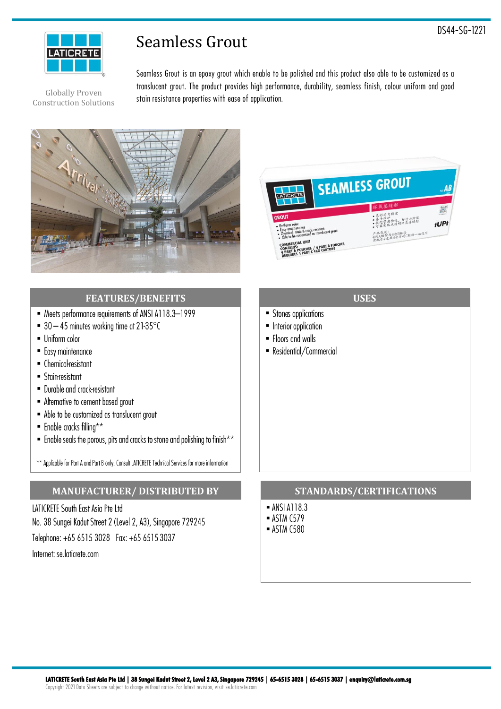

# Seamless Grout

**DS44-SG-1221**

Globally Proven Construction Solutions **Seamless Grout is an epoxy grout which enable to be polished and this product also able to be customized as a translucent grout. The product provides high performance, durability, seamless finish, colour uniform and good stain resistance properties with ease of application.**





## **FEATURES/BENEFITS**

- Reets performance requirements of ANSI A118.3-1999
- 30  $-$  45 minutes working time at 21-35 $\degree$ C
- Uniform color
- Easy maintenance
- Chemical-resistant
- Stain-resistant
- Durable and crack-resistant
- · Alternative to cement based arout
- Able to be customized as translucent grout
- **Enable cracks filling**\*\*
- $\blacksquare$  Enable seals the porous, pits and cracks to stone and polishing to finish\*\*

\*\* Applicable for Part A and Part B only. Consult LATICRETE Technical Services for more information

## **MANUFACTURER/ DISTRIBUTED BY**

LATICRETE South East Asia Pte Ltd No. 38 Sungei Kadut Street 2 (Level 2, A3), Singapore 729245 Telephone: +65 6515 3028 Fax: +65 6515 3037 Internet: se.laticrete.com

## **USES**

- Stones applications
- Interior application
- Floors and walls
- Residential/Commercial

#### **STANDARDS/CERTIFICATIONS**

- **ANSI A118.3**
- $\blacksquare$  ASTM C579
- **ASTM C580**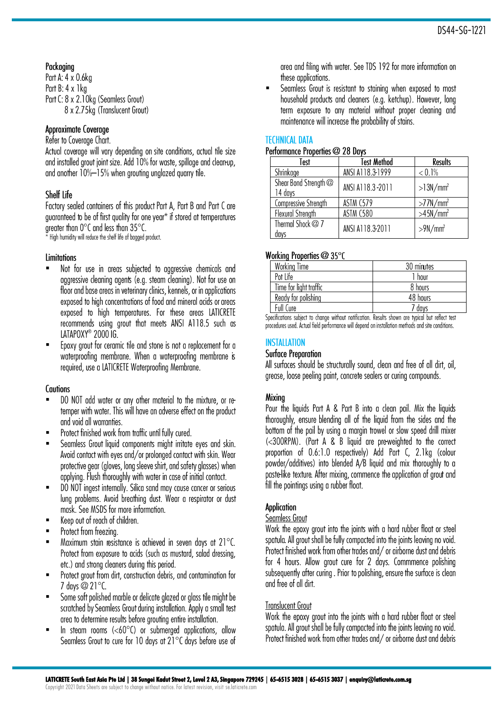# Packaging

Part A: 4 x 0.6kg Part B: 4 x 1 kg Part C: 8 x 2.10kg (Seamless Grout) 8 x 2.75kg (Translucent Grout)

## Approximate Coverage

Refer to Coverage Chart.

Actual coverage will vary depending on site conditions, actual tile size and installed grout joint size. Add 10% for waste, spillage and clean-up, and another 10%-15% when grouting unglazed guarry tile.

# Shelf Life

Factory sealed containers of this product Part A, Part B and Part C are guaranteed to be of first quality for one year\* if stored at temperatures areater than  $0^{\circ}$ C and less than  $35^{\circ}$ C.

High humidity will reduce the shelf life of bagged product.

## Limitations

- Not for use in areas subjected to aggressive chemicals and ▪ aggressive cleaning agents (e.g. steam cleaning). Not for use on floor and base areas in veterinary clinics, kennels, or in applications exposed to high concentrations of food and mineral acids or greas exposed to high temperatures. For these areas LATICRETE recommends using grout that meets ANSI A118.5 such as LATAPOXY<sup>®</sup> 2000 IG.
- Epoxy grout for ceramic tile and stone is not a replacement for a ▪ waterproofing membrane. When a waterproofing membrane is required, use a LATICRETE Waterproofing Membrane.

# **Cautions**

- DO NOT add water or any other material to the mixture, or re-▪ temper with water. This will have an adverse effect on the product and void all warranties.
- Protect finished work from traffic until fully cured. ▪
- Seamless Grout liquid components might irritate eyes and skin. ▪ Avoid contact with eyes and/or prolonged contact with skin. Wear protective gear (gloves, long sleeve shirt, and safety glasses) when applying. Flush thoroughly with water in case of initial contact.
- DO NOT ingest internally. Silica sand may cause cancer or serious ▪ lung problems. Avoid breathing dust. Wear a respirator or dust mask. See MSDS for more information.
- Keep out of reach of children. ▪
- Protect from freezing. ▪
- Maximum stain resistance is achieved in seven days at 21°C. ▪ Protect from exposure to acids (such as mustard, salad dressing, etc.) and strong cleaners during this period.
- Protect grout from dirt, construction debris, and contamination for  $7$  days  $@$   $21^{\circ}$ C
- Some soft polished marble or delicate glazed or glass tile might be ▪ scratched by Seamless Grout during installation. Apply a small test area to determine results before arouting entire installation.
- In steam rooms  $(<60^{\circ}C$ ) or submerged applications, allow▪ Seamless Grout to cure for 10 days at 21°C days before use of

area and filing with water. See TDS 192 for more information on these applications.

Seamless Grout is resistant to staining when exposed to most ▪household products and cleaners (e.g. ketchup). However, long term exposure to any material without proper cleaning and maintenance will increase the probability of stains.

# **TECHNICAL DATA**

#### Performance Properties @ 28 Davs

| Test                             | <b>Test Method</b> | <b>Results</b>          |
|----------------------------------|--------------------|-------------------------|
| Shrinkage                        | ANSI A118.3-1999   | $< 0.1\%$               |
| Shear Bond Strength @<br>14 days | ANSI A118.3-2011   | $>13N/mm^2$             |
| Compressive Strength             | <b>ASTM C579</b>   | $>77$ N/mm <sup>2</sup> |
| Flexural Strength                | ASTM C580          | >45N/mm <sup>2</sup>    |
| Thermal Shock @ 7<br>days        | ANSI A118.3-2011   | $>9N/mm^2$              |

#### Working Properties @ 35°C

| <b>Working Time</b>    | 30 minutes        |
|------------------------|-------------------|
| Pot Life               | hour              |
| Time for light traffic | 8 hours           |
| Ready for polishing    | 48 hours          |
| Full Cure              | <sup>7</sup> days |

Specifications subject to change without notification. Results shown are typical but reflect test procedures used. Actual field performance will depend on installation methods and site conditions.

# **INSTALLATION**

## **Surface Preparation**

All surfaces should be structurally sound, clean and free of all dirt, oil, gregse. loose peeling paint, concrete seglers or curing compounds.

# Mixina

Pour the liquids Part A & Part B into a clean pail. Mix the liquids thoroughly, ensure blending all of the liquid from the sides and the bottom of the pail by using a marain trowel or slow speed drill mixer (<300RPM). (Part A & B liquid are pre-weighted to the correct proportion of 0.6:1.0 respectively) Add Part C, 2.1kg (colour powder/additives) into blended A/B liquid and mix thoroughly to a pastelike texture. After mixing, commence the application of grout and fill the pointings using a rubber float.

## **Application**

#### Seamless Grout

Work the epoxy grout into the joints with a hard rubber float or steel spatula. All grout shall be fully compacted into the joints leaving no void. Protect finished work from other trades and / or airborne dust and debris for 4 hours. Allow grout cure for 2 days. Commmence polishing subsequently after curing. Prior to polishing, ensure the surface is clean and free of all dirt.

# **Translucent Grout**

Work the epoxy arout into the joints with a hard rubber float or steel spatula. All grout shall be fully compacted into the joints leaving no void. Protect finished work from other trades and/or airborne dust and debris